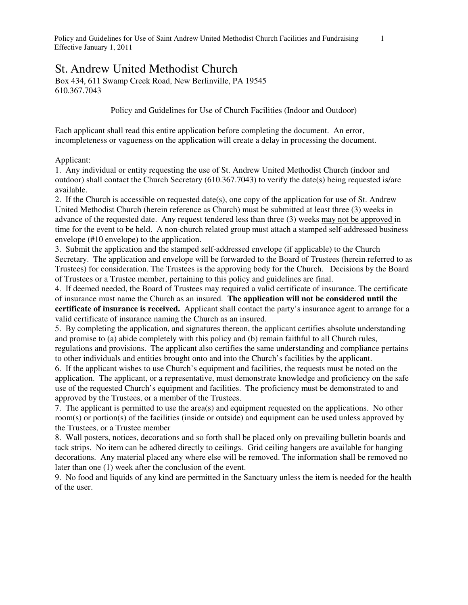## St. Andrew United Methodist Church

Box 434, 611 Swamp Creek Road, New Berlinville, PA 19545 610.367.7043

Policy and Guidelines for Use of Church Facilities (Indoor and Outdoor)

Each applicant shall read this entire application before completing the document. An error, incompleteness or vagueness on the application will create a delay in processing the document.

## Applicant:

1. Any individual or entity requesting the use of St. Andrew United Methodist Church (indoor and outdoor) shall contact the Church Secretary (610.367.7043) to verify the date(s) being requested is/are available.

2. If the Church is accessible on requested date(s), one copy of the application for use of St. Andrew United Methodist Church (herein reference as Church) must be submitted at least three (3) weeks in advance of the requested date. Any request tendered less than three (3) weeks may not be approved in time for the event to be held. A non-church related group must attach a stamped self-addressed business envelope (#10 envelope) to the application.

3. Submit the application and the stamped self-addressed envelope (if applicable) to the Church Secretary. The application and envelope will be forwarded to the Board of Trustees (herein referred to as Trustees) for consideration. The Trustees is the approving body for the Church. Decisions by the Board of Trustees or a Trustee member, pertaining to this policy and guidelines are final.

4. If deemed needed, the Board of Trustees may required a valid certificate of insurance. The certificate of insurance must name the Church as an insured. **The application will not be considered until the certificate of insurance is received.** Applicant shall contact the party's insurance agent to arrange for a valid certificate of insurance naming the Church as an insured.

5. By completing the application, and signatures thereon, the applicant certifies absolute understanding and promise to (a) abide completely with this policy and (b) remain faithful to all Church rules, regulations and provisions. The applicant also certifies the same understanding and compliance pertains to other individuals and entities brought onto and into the Church's facilities by the applicant.

6. If the applicant wishes to use Church's equipment and facilities, the requests must be noted on the application. The applicant, or a representative, must demonstrate knowledge and proficiency on the safe use of the requested Church's equipment and facilities. The proficiency must be demonstrated to and approved by the Trustees, or a member of the Trustees.

7. The applicant is permitted to use the area(s) and equipment requested on the applications. No other room(s) or portion(s) of the facilities (inside or outside) and equipment can be used unless approved by the Trustees, or a Trustee member

8. Wall posters, notices, decorations and so forth shall be placed only on prevailing bulletin boards and tack strips. No item can be adhered directly to ceilings. Grid ceiling hangers are available for hanging decorations. Any material placed any where else will be removed. The information shall be removed no later than one (1) week after the conclusion of the event.

9. No food and liquids of any kind are permitted in the Sanctuary unless the item is needed for the health of the user.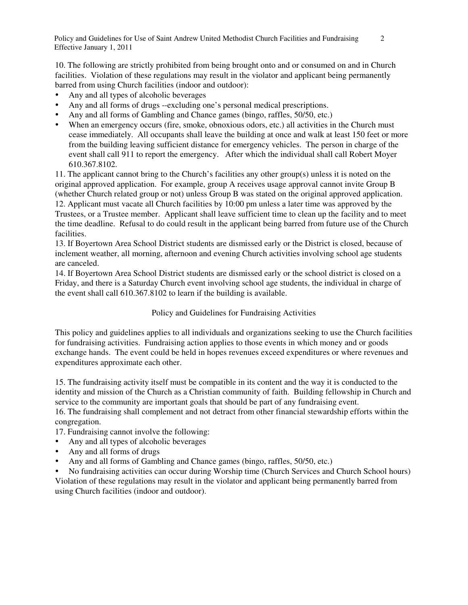10. The following are strictly prohibited from being brought onto and or consumed on and in Church facilities. Violation of these regulations may result in the violator and applicant being permanently barred from using Church facilities (indoor and outdoor):

- Any and all types of alcoholic beverages
- Any and all forms of drugs --excluding one's personal medical prescriptions.
- Any and all forms of Gambling and Chance games (bingo, raffles, 50/50, etc.)
- When an emergency occurs (fire, smoke, obnoxious odors, etc.) all activities in the Church must cease immediately. All occupants shall leave the building at once and walk at least 150 feet or more from the building leaving sufficient distance for emergency vehicles. The person in charge of the event shall call 911 to report the emergency. After which the individual shall call Robert Moyer 610.367.8102.

11. The applicant cannot bring to the Church's facilities any other group(s) unless it is noted on the original approved application. For example, group A receives usage approval cannot invite Group B (whether Church related group or not) unless Group B was stated on the original approved application. 12. Applicant must vacate all Church facilities by 10:00 pm unless a later time was approved by the Trustees, or a Trustee member. Applicant shall leave sufficient time to clean up the facility and to meet the time deadline. Refusal to do could result in the applicant being barred from future use of the Church facilities.

13. If Boyertown Area School District students are dismissed early or the District is closed, because of inclement weather, all morning, afternoon and evening Church activities involving school age students are canceled.

14. If Boyertown Area School District students are dismissed early or the school district is closed on a Friday, and there is a Saturday Church event involving school age students, the individual in charge of the event shall call 610.367.8102 to learn if the building is available.

Policy and Guidelines for Fundraising Activities

This policy and guidelines applies to all individuals and organizations seeking to use the Church facilities for fundraising activities. Fundraising action applies to those events in which money and or goods exchange hands. The event could be held in hopes revenues exceed expenditures or where revenues and expenditures approximate each other.

15. The fundraising activity itself must be compatible in its content and the way it is conducted to the identity and mission of the Church as a Christian community of faith. Building fellowship in Church and service to the community are important goals that should be part of any fundraising event. 16. The fundraising shall complement and not detract from other financial stewardship efforts within the congregation.

17. Fundraising cannot involve the following:

- Any and all types of alcoholic beverages
- Any and all forms of drugs
- Any and all forms of Gambling and Chance games (bingo, raffles, 50/50, etc.)

 No fundraising activities can occur during Worship time (Church Services and Church School hours) Violation of these regulations may result in the violator and applicant being permanently barred from using Church facilities (indoor and outdoor).